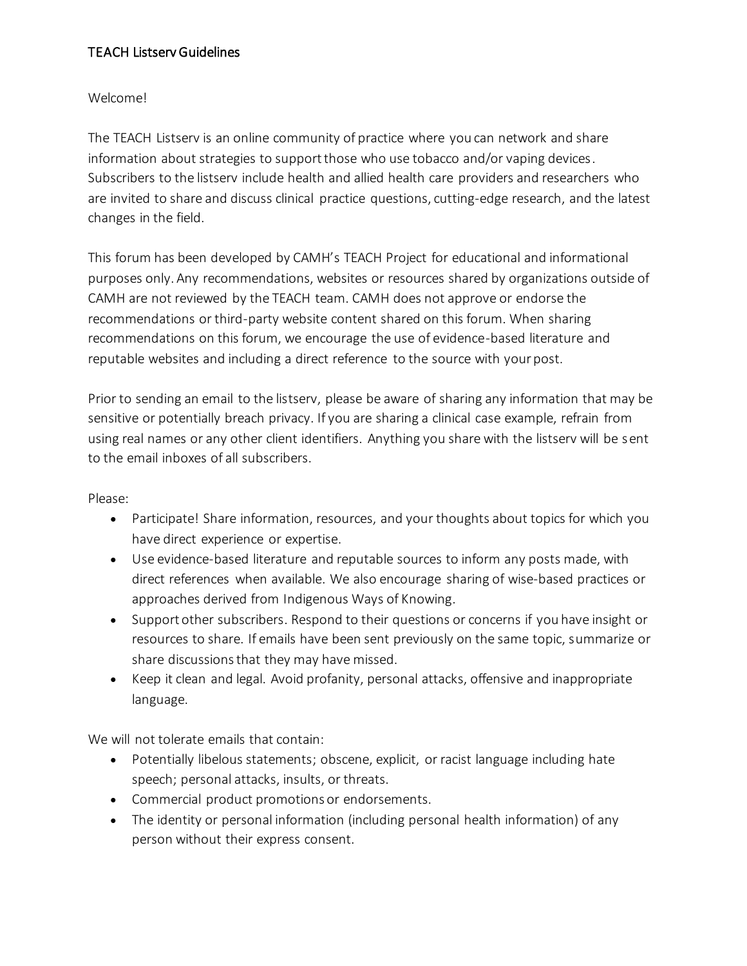## TEACH Listserv Guidelines

## Welcome!

The TEACH Listserv is an online community of practice where you can network and share information about strategies to support those who use tobacco and/or vaping devices. Subscribers to the listserv include health and allied health care providers and researchers who are invited to share and discuss clinical practice questions, cutting-edge research, and the latest changes in the field.

This forum has been developed by CAMH's TEACH Project for educational and informational purposes only. Any recommendations, websites or resources shared by organizations outside of CAMH are not reviewed by the TEACH team. CAMH does not approve or endorse the recommendations or third-party website content shared on this forum. When sharing recommendations on this forum, we encourage the use of evidence-based literature and reputable websites and including a direct reference to the source with your post.

Prior to sending an email to the listserv, please be aware of sharing any information that may be sensitive or potentially breach privacy. If you are sharing a clinical case example, refrain from using real names or any other client identifiers. Anything you share with the listserv will be sent to the email inboxes of all subscribers.

## Please:

- Participate! Share information, resources, and your thoughts about topics for which you have direct experience or expertise.
- Use evidence-based literature and reputable sources to inform any posts made, with direct references when available. We also encourage sharing of wise-based practices or approaches derived from Indigenous Ways of Knowing.
- Support other subscribers. Respond to their questions or concerns if you have insight or resources to share. If emails have been sent previously on the same topic, summarize or share discussions that they may have missed.
- Keep it clean and legal. Avoid profanity, personal attacks, offensive and inappropriate language.

We will not tolerate emails that contain:

- Potentially libelous statements; obscene, explicit, or racist language including hate speech; personal attacks, insults, or threats.
- Commercial product promotions or endorsements.
- The identity or personal information (including personal health information) of any person without their express consent.